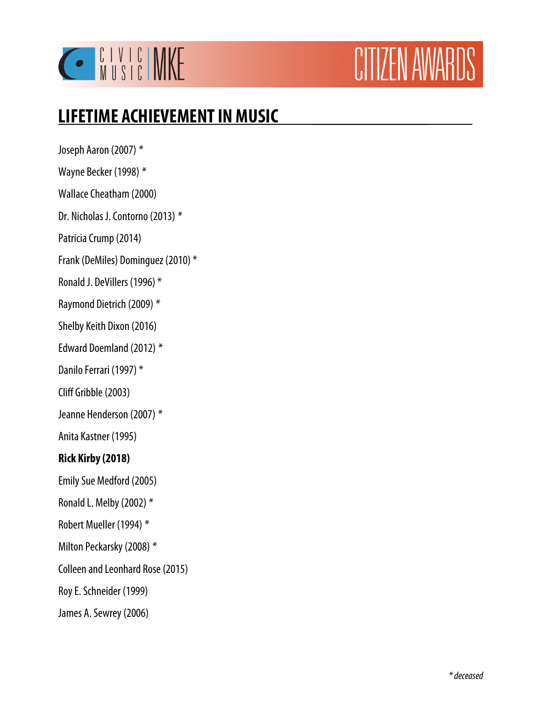

# CITIZEN AWARDS

# **LIFETIME ACHIEVEMENT IN MUSIC \_\_\_\_\_\_\_\_\_\_\_\_**

Joseph Aaron (2007) \* Wayne Becker (1998) \* Wallace Cheatham (2000) Dr. Nicholas J. Contorno (2013) \* Patricia Crump (2014) Frank (DeMiles) Dominguez (2010) \* Ronald J. DeVillers (1996) \* Raymond Dietrich (2009) \* Shelby Keith Dixon (2016) Edward Doemland (2012) \* Danilo Ferrari (1997) \*

Cliff Gribble (2003)

Jeanne Henderson (2007) \*

Anita Kastner (1995)

#### **Rick Kirby (2018)**

Emily Sue Medford (2005)

- Ronald L. Melby (2002) \*
- Robert Mueller (1994) \*
- Milton Peckarsky (2008) \*
- Colleen and Leonhard Rose (2015)
- Roy E. Schneider (1999)
- James A. Sewrey (2006)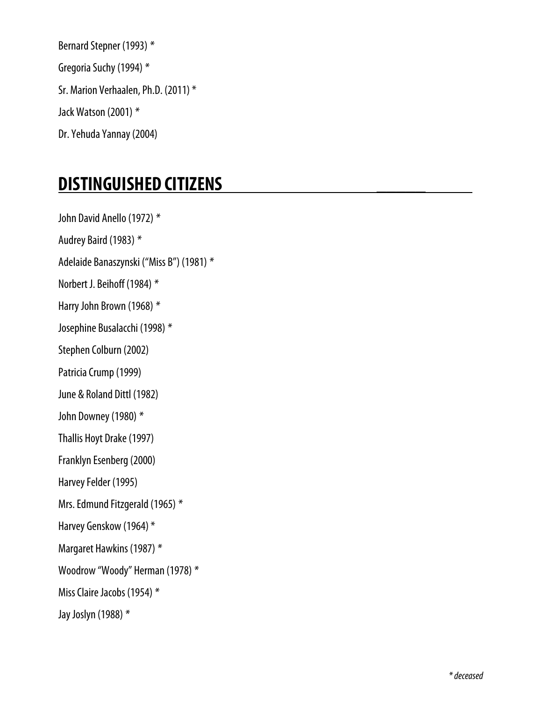Bernard Stepner (1993) \* Gregoria Suchy (1994) \* Sr. Marion Verhaalen, Ph.D. (2011) \* Jack Watson (2001) \* Dr. Yehuda Yannay (2004)

## **DISTINGUISHED CITIZENS \_\_\_\_\_**

John David Anello (1972) \* Audrey Baird (1983) \* Adelaide Banaszynski ("Miss B") (1981) \* Norbert J. Beihoff (1984) \* Harry John Brown (1968) \* Josephine Busalacchi (1998) \* Stephen Colburn (2002) Patricia Crump (1999) June & Roland Dittl (1982) John Downey (1980) \* Thallis Hoyt Drake (1997) Franklyn Esenberg (2000) Harvey Felder (1995) Mrs. Edmund Fitzgerald (1965) \* Harvey Genskow (1964) \* Margaret Hawkins (1987) \* Woodrow "Woody" Herman (1978) \* Miss Claire Jacobs (1954) \* Jay Joslyn (1988) \*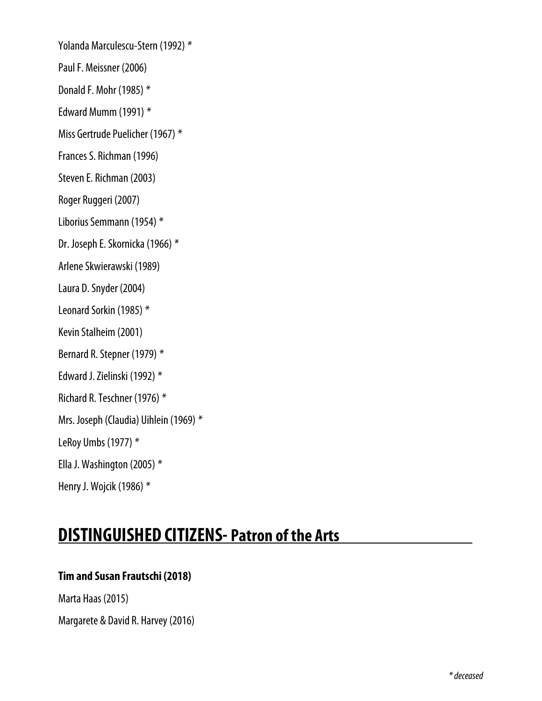Yolanda Marculescu-Stern (1992) \*

Paul F. Meissner (2006)

Donald F. Mohr (1985) \*

Edward Mumm (1991) \*

Miss Gertrude Puelicher (1967) \*

Frances S. Richman (1996)

Steven E. Richman (2003)

Roger Ruggeri (2007)

Liborius Semmann (1954) \*

Dr. Joseph E. Skornicka (1966) \*

Arlene Skwierawski (1989)

Laura D. Snyder (2004)

Leonard Sorkin (1985) \*

Kevin Stalheim (2001)

Bernard R. Stepner (1979) \*

Edward J. Zielinski (1992) \*

Richard R. Teschner (1976) \*

Mrs. Joseph (Claudia) Uihlein (1969) \*

LeRoy Umbs (1977) \*

Ella J. Washington (2005) \*

Henry J. Wojcik (1986) \*

### **DISTINGUISHED CITIZENS- Patron of the Arts**

#### **Tim and Susan Frautschi (2018)**

Marta Haas (2015)

Margarete & David R. Harvey (2016)